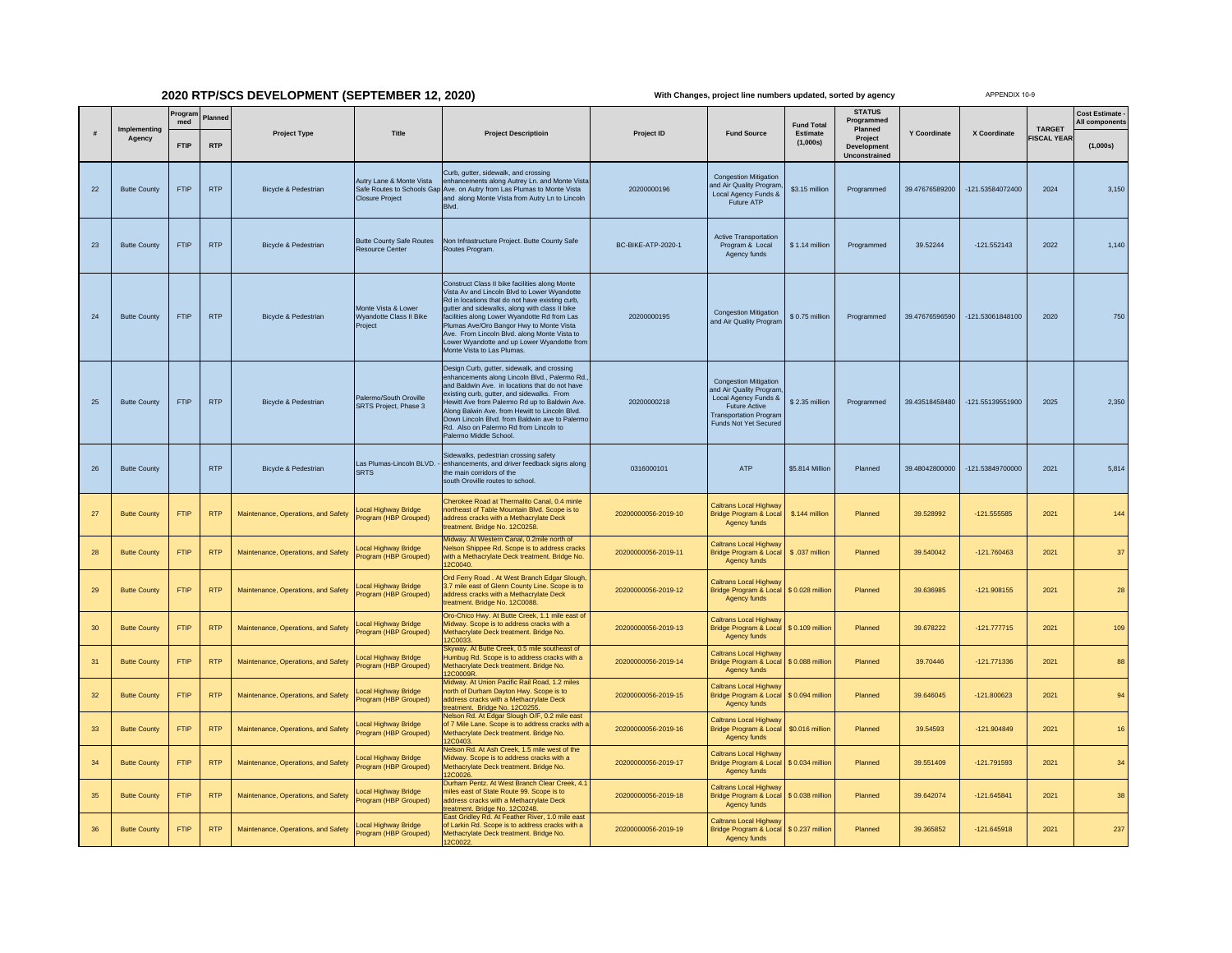## **2020 RTP/SCS DEVELOPMENT (SEPTEMBER 12, 2020)**

**With Changes, project line numbers updated, sorted by agency**

APPENDIX 10-9

| #  | Implementing        | Progran<br>med | Planned    | <b>Project Type</b>                 | Title                                                                            | <b>Project Descriptioin</b>                                                                                                                                                                                                                                                                                                                                                                                                  | Project ID                | <b>Fund Source</b>                                                                                                                                                | <b>Fund Total</b><br>Estimate<br>(1,000s) | <b>STATUS</b><br>Programmed<br>Planned<br>Project<br>Development<br><b>Unconstrained</b> | Y Coordinate   | X Coordinate     | <b>TARGET</b><br><b>ISCAL YEAR</b> | <b>Cost Estimate</b><br>All components |
|----|---------------------|----------------|------------|-------------------------------------|----------------------------------------------------------------------------------|------------------------------------------------------------------------------------------------------------------------------------------------------------------------------------------------------------------------------------------------------------------------------------------------------------------------------------------------------------------------------------------------------------------------------|---------------------------|-------------------------------------------------------------------------------------------------------------------------------------------------------------------|-------------------------------------------|------------------------------------------------------------------------------------------|----------------|------------------|------------------------------------|----------------------------------------|
|    | Agency              | <b>FTIP</b>    | <b>RTP</b> |                                     |                                                                                  |                                                                                                                                                                                                                                                                                                                                                                                                                              |                           |                                                                                                                                                                   |                                           |                                                                                          |                |                  |                                    | (1,000s)                               |
| 22 | <b>Butte County</b> | FTIP           | <b>RTP</b> | Bicycle & Pedestrian                | Autry Lane & Monte Vista<br>Safe Routes to Schools Gap<br><b>Closure Project</b> | Curb, gutter, sidewalk, and crossing<br>enhancements along Autrey Ln. and Monte Vista<br>Ave. on Autry from Las Plumas to Monte Vista<br>and along Monte Vista from Autry Ln to Lincoln<br>Blvd.                                                                                                                                                                                                                             | 20200000196               | <b>Congestion Mitigation</b><br>and Air Quality Program<br>Local Agency Funds &<br>Future ATP                                                                     | \$3.15 million                            | Programmed                                                                               | 39.47676589200 | -121.53584072400 | 2024                               | 3,150                                  |
| 23 | <b>Butte County</b> | <b>FTIP</b>    | <b>RTP</b> | <b>Bicycle &amp; Pedestrian</b>     | <b>Butte County Safe Routes</b><br><b>Resource Center</b>                        | Non Infrastructure Project. Butte County Safe<br>Routes Program.                                                                                                                                                                                                                                                                                                                                                             | <b>BC-BIKE-ATP-2020-1</b> | <b>Active Transportation</b><br>Program & Local<br>Agency funds                                                                                                   | \$1.14 million                            | Programmed                                                                               | 39.52244       | $-121.552143$    | 2022                               | 1,140                                  |
| 24 | <b>Butte County</b> | <b>FTIP</b>    | <b>RTP</b> | Bicycle & Pedestrian                | Monte Vista & Lower<br>Wyandotte Class II Bike<br>Project                        | Construct Class II bike facilities along Monte<br>Vista Av and Lincoln Blvd to Lower Wyandotte<br>Rd in locations that do not have existing curb,<br>gutter and sidewalks, along with class II bike<br>facilities along Lower Wyandotte Rd from Las<br>Plumas Ave/Oro Bangor Hwy to Monte Vista<br>Ave. From Lincoln Blvd. along Monte Vista to<br>Lower Wyandotte and up Lower Wyandotte from<br>Monte Vista to Las Plumas. | 20200000195               | <b>Congestion Mitigation</b><br>and Air Quality Program                                                                                                           | \$0.75 million                            | Programmed                                                                               | 39.47676596590 | -121.53061848100 | 2020                               | 750                                    |
| 25 | <b>Butte County</b> | <b>FTIP</b>    | <b>RTP</b> | Bicycle & Pedestrian                | Palermo/South Oroville<br>SRTS Project, Phase 3                                  | Design Curb, gutter, sidewalk, and crossing<br>enhancements along Lincoln Blvd., Palermo Rd.<br>and Baldwin Ave. in locations that do not have<br>existing curb, gutter, and sidewalks. From<br>ewitt Ave from Palermo Rd up to Baldwin Ave<br>Along Balwin Ave. from Hewitt to Lincoln Blvd.<br>Down Lincoln Blvd, from Baldwin ave to Palermo<br>Rd. Also on Palermo Rd from Lincoln to<br>Palermo Middle School.          | 20200000218               | <b>Congestion Mitigation</b><br>and Air Quality Program<br>Local Agency Funds &<br><b>Future Active</b><br><b>Transportation Program</b><br>Funds Not Yet Secured | \$2.35 million                            | Programmed                                                                               | 39.43518458480 | -121.55139551900 | 2025                               | 2,350                                  |
| 26 | <b>Butte County</b> |                | <b>RTP</b> | <b>Bicycle &amp; Pedestrian</b>     | Las Plumas-Lincoln BLVD.<br><b>SRTS</b>                                          | Sidewalks, pedestrian crossing safety<br>enhancements, and driver feedback signs along<br>the main corridors of the<br>south Oroville routes to school.                                                                                                                                                                                                                                                                      | 0316000101                | ATP                                                                                                                                                               | \$5.814 Million                           | Planned                                                                                  | 39.48042800000 | -121.53849700000 | 2021                               | 5,814                                  |
| 27 | <b>Butte County</b> | <b>FTIP</b>    | <b>RTP</b> | Maintenance, Operations, and Safety | <b>Local Highway Bridge</b><br>rogram (HBP Grouped)                              | Cherokee Road at Thermalito Canal, 0.4 minle<br>ortheast of Table Mountain Blvd. Scope is to<br>address cracks with a Methacrylate Deck<br>eatment. Bridge No. 12C0258.                                                                                                                                                                                                                                                      | 20200000056-2019-10       | Caltrans Local Highway<br><b>Bridge Program &amp; Local</b><br>Agency funds                                                                                       | \$.144 million                            | Planned                                                                                  | 39.528992      | $-121.555585$    | 2021                               | 144                                    |
| 28 | <b>Butte County</b> | <b>FTIP</b>    | <b>RTP</b> | Maintenance, Operations, and Safety | ocal Highway Bridge<br>rogram (HBP Grouped)                                      | Midway. At Western Canal, 0.2mile north of<br><b>Nelson Shippee Rd. Scope is to address cracks</b><br>with a Methacrylate Deck treatment. Bridge No.<br><b>2C0040</b>                                                                                                                                                                                                                                                        | 20200000056-2019-11       | Caltrans Local Highway<br><b>Bridge Program &amp; Local</b><br>Agency funds                                                                                       | \$.037 million                            | Planned                                                                                  | 39.540042      | -121.760463      | 2021                               | 37                                     |
| 29 | <b>Butte County</b> | FTIP           | <b>RTP</b> | Maintenance, Operations, and Safety | Local Highway Bridge<br>rogram (HBP Grouped)                                     | Ord Ferry Road. At West Branch Edgar Slough,<br>3.7 mile east of Glenn County Line. Scope is to<br>address cracks with a Methacrylate Deck<br>reatment. Bridge No. 12C0088.                                                                                                                                                                                                                                                  | 20200000056-2019-12       | Caltrans Local Highway<br>Bridge Program & Local<br>Agency funds                                                                                                  | \$0.028 million                           | Planned                                                                                  | 39.636985      | $-121.908155$    | 2021                               | 28                                     |
| 30 | <b>Butte County</b> | <b>FTIP</b>    | <b>RTP</b> | Maintenance, Operations, and Safety | ocal Highway Bridge<br>rogram (HBP Grouped)                                      | Oro-Chico Hwy. At Butte Creek, 1.1 mile east of<br>Midway. Scope is to address cracks with a<br>Methacrylate Deck treatment. Bridge No.<br>2C0033                                                                                                                                                                                                                                                                            | 20200000056-2019-13       | <b>Caltrans Local Highway</b><br><b>Bridge Program &amp; Local</b><br>Agency funds                                                                                | \$ 0.109 million                          | Planned                                                                                  | 39.678222      | $-121.777715$    | 2021                               | 109                                    |
| 31 | <b>Butte County</b> | <b>FTIP</b>    | <b>RTP</b> | Maintenance, Operations, and Safety | ocal Highway Bridge<br>rogram (HBP Grouped)                                      | Skyway. At Butte Creek, 0.5 mile southeast of<br>Humbug Rd. Scope is to address cracks with a<br>Methacrylate Deck treatment. Bridge No.<br>2C0009R                                                                                                                                                                                                                                                                          | 20200000056-2019-14       | Caltrans Local Highway<br>Bridge Program & Local<br>Agency funds                                                                                                  | \$0.088 million                           | Planned                                                                                  | 39.70446       | $-121.771336$    | 2021                               | 88                                     |
| 32 | <b>Butte County</b> | <b>FTIP</b>    | <b>RTP</b> | Maintenance, Operations, and Safety | ocal Highway Bridge<br>rogram (HBP Grouped)                                      | Midway, At Union Pacific Rail Road, 1.2 miles<br>north of Durham Dayton Hwy. Scope is to<br>address cracks with a Methacrylate Deck<br>reatment. Bridge No. 12C0255.                                                                                                                                                                                                                                                         | 20200000056-2019-15       | Caltrans Local Highway<br>Bridge Program & Local<br>Agency funds                                                                                                  | \$ 0.094 million                          | Planned                                                                                  | 39.646045      | $-121.800623$    | 2021                               | 94                                     |
| 33 | <b>Butte County</b> | <b>FTIP</b>    | <b>RTP</b> | Maintenance, Operations, and Safety | ocal Highway Bridge<br>rogram (HBP Grouped)                                      | Nelson Rd. At Edgar Slough O/F, 0.2 mile east<br>of 7 Mile Lane. Scope is to address cracks with a<br>Methacrylate Deck treatment. Bridge No.<br><b>2C0403</b>                                                                                                                                                                                                                                                               | 20200000056-2019-16       | <b>Caltrans Local Highway</b><br>Bridge Program & Local<br>Agency funds                                                                                           | \$0.016 million                           | Planned                                                                                  | 39.54593       | $-121.904849$    | 2021                               | 16                                     |
| 34 | <b>Butte County</b> | <b>FTIP</b>    | <b>RTP</b> | Maintenance, Operations, and Safety | ocal Highway Bridge<br>rogram (HBP Grouped)                                      | Nelson Rd. At Ash Creek, 1.5 mile west of the<br>Midway. Scope is to address cracks with a<br>Methacrylate Deck treatment. Bridge No.<br>2C0026                                                                                                                                                                                                                                                                              | 20200000056-2019-17       | Caltrans Local Highway<br><b>Bridge Program &amp; Local</b><br>Agency funds                                                                                       | \$ 0.034 million                          | Planned                                                                                  | 39.551409      | $-121.791593$    | 2021                               | 34                                     |
| 35 | <b>Butte County</b> | <b>FTIP</b>    | <b>RTP</b> | Maintenance, Operations, and Safety | ocal Highway Bridge<br>rogram (HBP Grouped)                                      | Durham Pentz. At West Branch Clear Creek, 4.<br>miles east of State Route 99. Scope is to<br>address cracks with a Methacrylate Deck<br>eatment. Bridge No. 12C0248.                                                                                                                                                                                                                                                         | 20200000056-2019-18       | <b>Caltrans Local Highway</b><br>Bridge Program & Local<br>Agency funds                                                                                           | \$0.038 million                           | Planned                                                                                  | 39.642074      | $-121.645841$    | 2021                               | 38                                     |
| 36 | <b>Butte County</b> | <b>FTIP</b>    | <b>RTP</b> | Maintenance, Operations, and Safety | ocal Highway Bridge<br>rogram (HBP Grouped)                                      | ast Gridley Rd. At Feather River, 1.0 mile eas<br>of Larkin Rd. Scope is to address cracks with a<br>Methacrylate Deck treatment. Bridge No.<br>2C0022.                                                                                                                                                                                                                                                                      | 20200000056-2019-19       | Caltrans Local Highway<br><b>Bridge Program &amp; Local</b><br>Agency funds                                                                                       | \$ 0.237 million                          | Planned                                                                                  | 39.365852      | $-121.645918$    | 2021                               | 237                                    |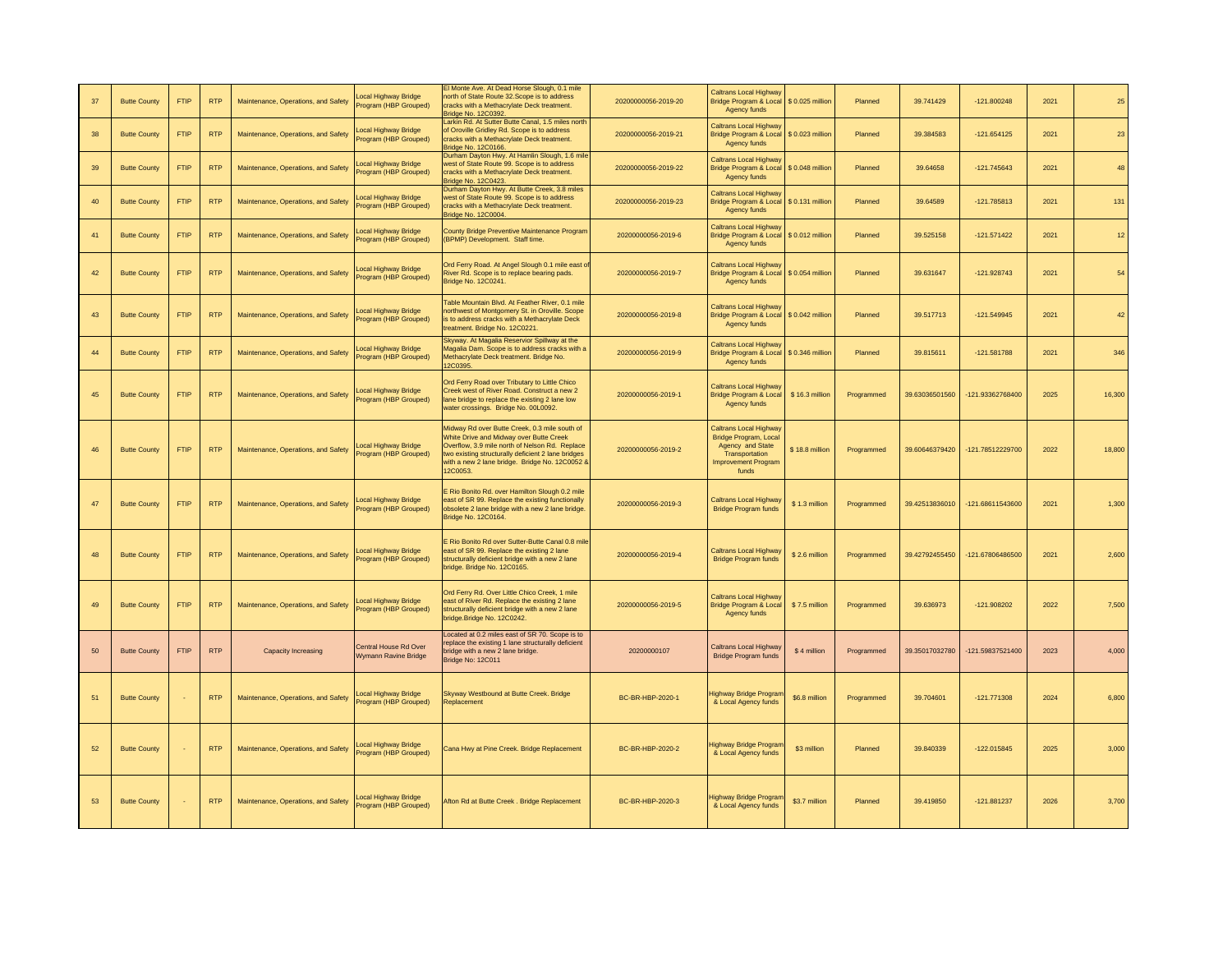| 37 | <b>Butte County</b> | <b>FTIP</b> | <b>RTP</b> | Maintenance, Operations, and Safety | ocal Highway Bridge<br>rogram (HBP Grouped)          | I Monte Ave. At Dead Horse Slough, 0.1 mile<br>north of State Route 32. Scope is to address<br>racks with a Methacrylate Deck treatment.<br><b>Bridge No. 12C0392.</b>                                                                                        | 20200000056-2019-20 | <b>Caltrans Local Highway</b><br>Bridge Program & Local<br>Agency funds                                                             | \$0.025 million  | Planned    | 39.741429      | $-121.800248$   | 2021 | 25     |
|----|---------------------|-------------|------------|-------------------------------------|------------------------------------------------------|---------------------------------------------------------------------------------------------------------------------------------------------------------------------------------------------------------------------------------------------------------------|---------------------|-------------------------------------------------------------------------------------------------------------------------------------|------------------|------------|----------------|-----------------|------|--------|
| 38 | <b>Butte County</b> | <b>FTIP</b> | <b>RTP</b> | Maintenance, Operations, and Safety | ocal Highway Bridge<br>Program (HBP Grouped)         | Larkin Rd. At Sutter Butte Canal, 1.5 miles north<br>of Oroville Gridley Rd. Scope is to address<br>cracks with a Methacrylate Deck treatment.<br>Bridge No. 12C0166                                                                                          | 20200000056-2019-21 | Caltrans Local Highway<br>Bridge Program & Local \$ 0.023 million<br>Agency funds                                                   |                  | Planned    | 39.384583      | $-121.654125$   | 2021 | 23     |
| 39 | <b>Butte County</b> | <b>FTIP</b> | <b>RTP</b> | Maintenance, Operations, and Safety | ocal Highway Bridge<br>rogram (HBP Grouped)          | Durham Dayton Hwy. At Hamlin Slough, 1.6 mil<br>west of State Route 99, Scope is to address<br>cracks with a Methacrylate Deck treatment.<br>Bridge No. 12C0423                                                                                               | 20200000056-2019-22 | <b>Caltrans Local Highway</b><br>Bridge Program & Local \$ 0.048 million<br>Agency funds                                            |                  | Planned    | 39.64658       | $-121.745643$   | 2021 | 48     |
| 40 | <b>Butte County</b> | <b>FTIP</b> | <b>RTP</b> | Maintenance, Operations, and Safety | ocal Highway Bridge<br>rogram (HBP Grouped)          | Durham Dayton Hwy. At Butte Creek, 3.8 miles<br>west of State Route 99. Scope is to address<br>cracks with a Methacrylate Deck treatment.<br><b>Bridge No. 12C0004.</b>                                                                                       | 20200000056-2019-23 | <b>Caltrans Local Highway</b><br>Bridge Program & Local<br>Agency funds                                                             | \$ 0.131 million | Planned    | 39.64589       | -121.785813     | 2021 | 131    |
| 41 | <b>Butte County</b> | <b>FTIP</b> | <b>RTP</b> | Maintenance, Operations, and Safety | ocal Highway Bridge<br>rogram (HBP Grouped)          | County Bridge Preventive Maintenance Program<br>(BPMP) Development. Staff time.                                                                                                                                                                               | 20200000056-2019-6  | <b>Caltrans Local Highway</b><br>Bridge Program & Local<br><b>Agency funds</b>                                                      | \$0.012 million  | Planned    | 39.525158      | $-121.571422$   | 2021 | 12     |
| 42 | <b>Butte County</b> | <b>FTIP</b> | <b>RTP</b> | Maintenance, Operations, and Safety | <b>Local Highway Bridge</b><br>Program (HBP Grouped) | Ord Ferry Road. At Angel Slough 0.1 mile east of<br>River Rd. Scope is to replace bearing pads.<br>Bridge No. 12C0241.                                                                                                                                        | 20200000056-2019-7  | Caltrans Local Highwar<br>Bridge Program & Local \$ 0.054 million<br>Agency funds                                                   |                  | Planned    | 39.631647      | $-121.928743$   | 2021 | 54     |
| 43 | <b>Butte County</b> | <b>FTIP</b> | <b>RTP</b> | Maintenance, Operations, and Safety | Local Highway Bridge<br>rogram (HBP Grouped)         | Table Mountain Blvd. At Feather River, 0.1 mile<br>northwest of Montgomery St. in Oroville. Scope<br>s to address cracks with a Methacrylate Deck<br>reatment. Bridge No. 12C0221.                                                                            | 20200000056-2019-8  | Caltrans Local Highway<br><b>Bridge Program &amp; Local</b><br>Agency funds                                                         | \$0.042 million  | Planned    | 39.517713      | $-121.549945$   | 2021 | 42     |
| 44 | <b>Butte County</b> | <b>FTIP</b> | <b>RTP</b> | Maintenance, Operations, and Safety | ocal Highway Bridge<br>Program (HBP Grouped)         | Skyway. At Magalia Reservior Spillway at the<br>Magalia Dam. Scope is to address cracks with a<br>Methacrylate Deck treatment. Bridge No.<br>12C0395.                                                                                                         | 20200000056-2019-9  | Caltrans Local Highway<br>Bridge Program & Local<br>Agency funds                                                                    | \$0.346 million  | Planned    | 39.815611      | $-121.581788$   | 2021 | 346    |
| 45 | <b>Butte County</b> | <b>FTIP</b> | <b>RTP</b> | Maintenance, Operations, and Safety | <b>Local Highway Bridge</b><br>rogram (HBP Grouped)  | Ord Ferry Road over Tributary to Little Chico<br>Creek west of River Road. Construct a new 2<br>lane bridge to replace the existing 2 lane low<br>water crossings. Bridge No. 00L0092.                                                                        | 20200000056-2019-1  | Caltrans Local Highway<br><b>Bridge Program &amp; Local</b><br><b>Agency funds</b>                                                  | \$16.3 million   | Programmed | 39.63036501560 | 121.93362768400 | 2025 | 16,300 |
| 46 | <b>Butte County</b> | <b>FTIP</b> | <b>RTP</b> | Maintenance, Operations, and Safety | <b>cal Highway Bridge</b><br>rogram (HBP Grouped)    | Midway Rd over Butte Creek, 0.3 mile south of<br>White Drive and Midway over Butte Creek<br>Overflow, 3.9 mile north of Nelson Rd. Replace<br>wo existing structurally deficient 2 lane bridges<br>with a new 2 lane bridge. Bridge No. 12C0052 &<br>12C0053. | 20200000056-2019-2  | <b>Caltrans Local Highway</b><br>Bridge Program, Local<br>Agency and State<br>Transportation<br><b>Improvement Program</b><br>funds | \$18.8 million   | Programmed | 39.60646379420 | 121.78512229700 | 2022 | 18,800 |
| 47 | <b>Butte County</b> | <b>FTIP</b> | <b>RTP</b> | Maintenance, Operations, and Safety | ocal Highway Bridge<br>rogram (HBP Grouped)          | Rio Bonito Rd. over Hamilton Slough 0.2 mile<br>ast of SR 99. Replace the existing functionally<br>obsolete 2 lane bridge with a new 2 lane bridge<br>Bridge No. 12C0164.                                                                                     | 20200000056-2019-3  | Caltrans Local Highway<br><b>Bridge Program funds</b>                                                                               | \$1.3 million    | Programmed | 39.42513836010 | 121.68611543600 | 2021 | 1,300  |
| 48 | <b>Butte County</b> | <b>FTIP</b> | <b>RTP</b> | Maintenance, Operations, and Safety | ocal Highway Bridge<br>rogram (HBP Grouped)          | Rio Bonito Rd over Sutter-Butte Canal 0.8 mile<br>east of SR 99. Replace the existing 2 lane<br>structurally deficient bridge with a new 2 lane<br>bridge. Bridge No. 12C0165.                                                                                | 20200000056-2019-4  | Caltrans Local Highway<br><b>Bridge Program funds</b>                                                                               | \$2.6 million    | Programmed | 39.42792455450 | 121.67806486500 | 2021 | 2,600  |
| 49 | <b>Butte County</b> | <b>FTIP</b> | <b>RTP</b> | Maintenance, Operations, and Safety | ocal Highway Bridge<br>rogram (HBP Grouped)          | Ord Ferry Rd. Over Little Chico Creek, 1 mile<br>east of River Rd. Replace the existing 2 lane<br>structurally deficient bridge with a new 2 lane<br>bridge.Bridge No. 12C0242.                                                                               | 20200000056-2019-5  | Caltrans Local Highway<br><b>Bridge Program &amp; Local</b><br>Agency funds                                                         | \$7.5 million    | Programmed | 39.636973      | $-121.908202$   | 2022 | 7,500  |
| 50 | <b>Butte County</b> | <b>FTIP</b> | <b>RTP</b> | Capacity Increasing                 | Central House Rd Over<br>Wymann Ravine Bridge        | Located at 0.2 miles east of SR 70. Scope is to<br>eplace the existing 1 lane structurally deficient<br>bridge with a new 2 lane bridge.<br>Bridge No: 12C011                                                                                                 | 20200000107         | Caltrans Local Highway<br><b>Bridge Program funds</b>                                                                               | \$4 million      | Programmed | 39.35017032780 | 121.59837521400 | 2023 | 4,000  |
| 51 | <b>Butte County</b> |             | <b>RTP</b> | Maintenance, Operations, and Safety | ocal Highway Bridge<br>rogram (HBP Grouped)          | Skyway Westbound at Butte Creek. Bridge<br>Replacement                                                                                                                                                                                                        | BC-BR-HBP-2020-1    | Highway Bridge Progran<br>& Local Agency funds                                                                                      | \$6.8 million    | Programmed | 39.704601      | $-121.771308$   | 2024 | 6,800  |
| 52 | <b>Butte County</b> |             | <b>RTP</b> | Maintenance, Operations, and Safety | <b>pcal Highway Bridge</b><br>Program (HBP Grouped)  | Cana Hwy at Pine Creek. Bridge Replacement                                                                                                                                                                                                                    | BC-BR-HBP-2020-2    | lighway Bridge Program<br>& Local Agency funds                                                                                      | \$3 million      | Planned    | 39.840339      | $-122.015845$   | 2025 | 3,000  |
| 53 | <b>Butte County</b> |             | <b>RTP</b> | Maintenance, Operations, and Safety | ocal Highway Bridge<br>rogram (HBP Grouped)          | Afton Rd at Butte Creek. Bridge Replacement                                                                                                                                                                                                                   | BC-BR-HBP-2020-3    | lighway Bridge Program<br>& Local Agency funds                                                                                      | \$3.7 million    | Planned    | 39.419850      | $-121.881237$   | 2026 | 3,700  |
|    |                     |             |            |                                     |                                                      |                                                                                                                                                                                                                                                               |                     |                                                                                                                                     |                  |            |                |                 |      |        |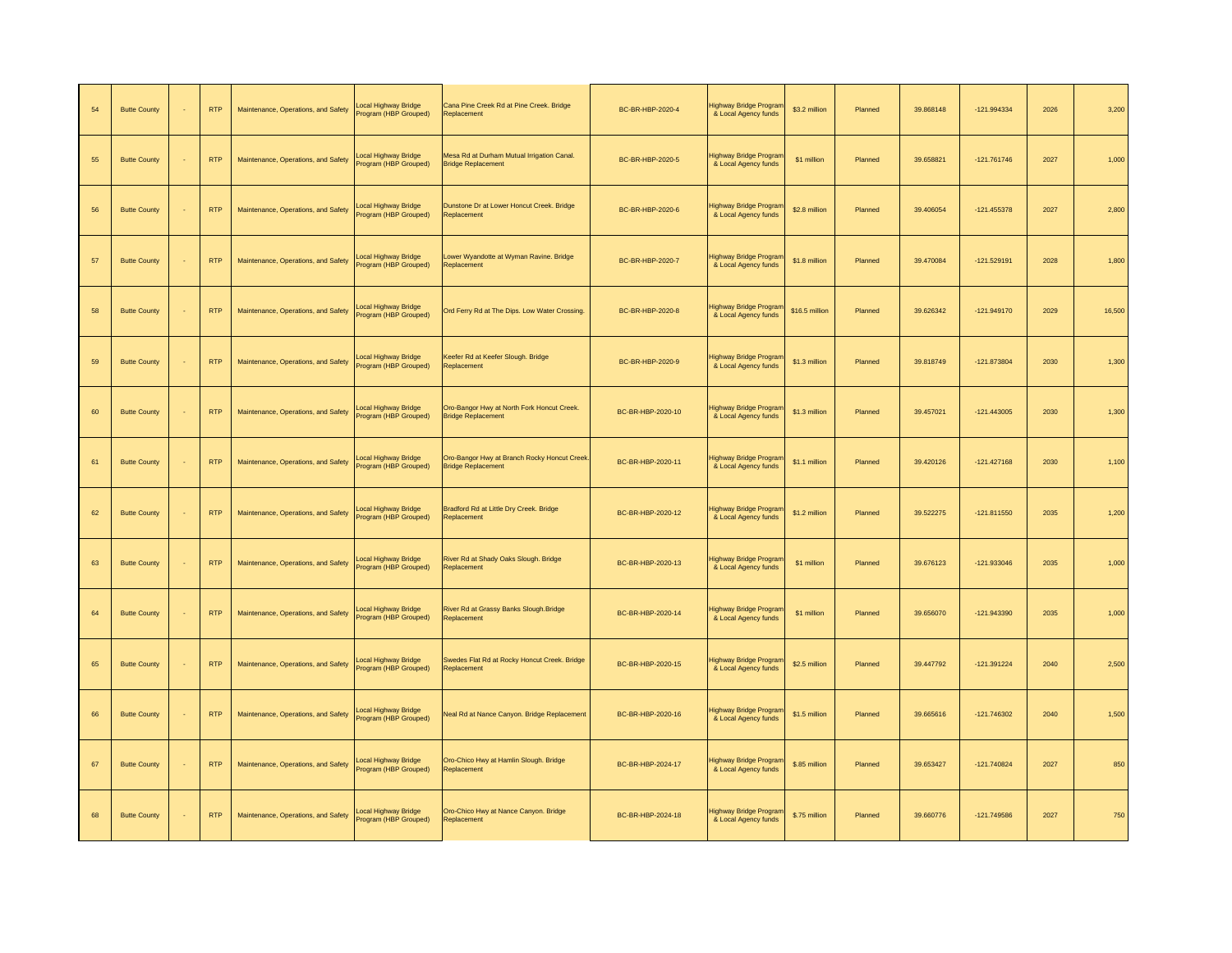| 54 | <b>Butte County</b> | <b>RTP</b> | Maintenance, Operations, and Safety | Local Highway Bridge<br>Program (HBP Grouped) | Cana Pine Creek Rd at Pine Creek. Bridge<br>Replacement                   | BC-BR-HBP-2020-4  | lighway Bridge Progran<br>& Local Agency funds | \$3.2 million  | Planned | 39.868148 | $-121.994334$ | 2026 | 3,200  |
|----|---------------------|------------|-------------------------------------|-----------------------------------------------|---------------------------------------------------------------------------|-------------------|------------------------------------------------|----------------|---------|-----------|---------------|------|--------|
| 55 | <b>Butte County</b> | <b>RTP</b> | Maintenance, Operations, and Safety | Local Highway Bridge<br>Program (HBP Grouped) | Mesa Rd at Durham Mutual Irrigation Canal.<br><b>Bridge Replacement</b>   | BC-BR-HBP-2020-5  | Highway Bridge Prograr<br>& Local Agency funds | \$1 million    | Planned | 39.658821 | $-121.761746$ | 2027 | 1,000  |
| 56 | <b>Butte County</b> | <b>RTP</b> | Maintenance, Operations, and Safety | Local Highway Bridge<br>Program (HBP Grouped) | Dunstone Dr at Lower Honcut Creek. Bridge<br>Replacement                  | BC-BR-HBP-2020-6  | Highway Bridge Prograr<br>& Local Agency funds | \$2.8 million  | Planned | 39.406054 | $-121.455378$ | 2027 | 2,800  |
| 57 | <b>Butte County</b> | <b>RTP</b> | Maintenance, Operations, and Safety | Local Highway Bridge<br>Program (HBP Grouped) | ower Wyandotte at Wyman Ravine. Bridge<br>Replacement                     | BC-BR-HBP-2020-7  | Highway Bridge Progran<br>& Local Agency funds | \$1.8 million  | Planned | 39.470084 | $-121.529191$ | 2028 | 1,800  |
| 58 | <b>Butte County</b> | <b>RTP</b> | Maintenance, Operations, and Safety | Local Highway Bridge<br>Program (HBP Grouped) | Ord Ferry Rd at The Dips. Low Water Crossing.                             | BC-BR-HBP-2020-8  | Highway Bridge Prograr<br>& Local Agency funds | \$16.5 million | Planned | 39.626342 | $-121.949170$ | 2029 | 16,500 |
| 59 | <b>Butte County</b> | <b>RTP</b> | Maintenance, Operations, and Safety | Local Highway Bridge<br>Program (HBP Grouped) | Keefer Rd at Keefer Slough. Bridge<br>Replacement                         | BC-BR-HBP-2020-9  | Highway Bridge Prograr<br>& Local Agency funds | \$1.3 million  | Planned | 39.818749 | $-121.873804$ | 2030 | 1,300  |
| 60 | <b>Butte County</b> | <b>RTP</b> | Maintenance, Operations, and Safety | Local Highway Bridge<br>Program (HBP Grouped) | Oro-Bangor Hwy at North Fork Honcut Creek.<br><b>Bridge Replacement</b>   | BC-BR-HBP-2020-10 | Highway Bridge Prograi<br>& Local Agency funds | \$1.3 million  | Planned | 39.457021 | $-121.443005$ | 2030 | 1,300  |
| 61 | <b>Butte County</b> | <b>RTP</b> | Maintenance, Operations, and Safety | Local Highway Bridge<br>Program (HBP Grouped) | Oro-Bangor Hwy at Branch Rocky Honcut Creek.<br><b>Sridge Replacement</b> | BC-BR-HBP-2020-11 | Highway Bridge Prograr<br>& Local Agency funds | \$1.1 million  | Planned | 39.420126 | $-121.427168$ | 2030 | 1,100  |
| 62 | <b>Butte County</b> | <b>RTP</b> | Maintenance, Operations, and Safety | Local Highway Bridge<br>Program (HBP Grouped) | Bradford Rd at Little Dry Creek. Bridge<br>Replacement                    | BC-BR-HBP-2020-12 | Highway Bridge Prograi<br>& Local Agency funds | \$1.2 million  | Planned | 39.522275 | $-121.811550$ | 2035 | 1,200  |
| 63 | <b>Butte County</b> | <b>RTP</b> | Maintenance, Operations, and Safety | Local Highway Bridge<br>rogram (HBP Grouped)  | River Rd at Shady Oaks Slough. Bridge<br>Replacement                      | BC-BR-HBP-2020-13 | Highway Bridge Prograr<br>& Local Agency funds | \$1 million    | Planned | 39.676123 | -121.933046   | 2035 | 1,000  |
| 64 | <b>Butte County</b> | <b>RTP</b> | Maintenance, Operations, and Safety | ocal Highway Bridge<br>Program (HBP Grouped)  | River Rd at Grassy Banks Slough.Bridge<br>Replacement                     | BC-BR-HBP-2020-14 | Highway Bridge Prograi<br>& Local Agency funds | \$1 million    | Planned | 39.656070 | $-121.943390$ | 2035 | 1,000  |
| 65 | <b>Butte County</b> | <b>RTP</b> | Maintenance, Operations, and Safety | Local Highway Bridge<br>rogram (HBP Grouped)  | Swedes Flat Rd at Rocky Honcut Creek. Bridge<br>Replacement               | BC-BR-HBP-2020-15 | Highway Bridge Prograr<br>& Local Agency funds | \$2.5 million  | Planned | 39.447792 | -121.391224   | 2040 | 2,500  |
| 66 | <b>Butte County</b> | <b>RTP</b> | Maintenance, Operations, and Safety | Local Highway Bridge<br>Program (HBP Grouped) | Neal Rd at Nance Canyon. Bridge Replacement                               | BC-BR-HBP-2020-16 | lighway Bridge Prograr<br>& Local Agency funds | \$1.5 million  | Planned | 39.665616 | $-121.746302$ | 2040 | 1,500  |
| 67 | <b>Butte County</b> | <b>RTP</b> | Maintenance, Operations, and Safety | Local Highway Bridge<br>Program (HBP Grouped) | Oro-Chico Hwy at Hamlin Slough. Bridge<br>Replacement                     | BC-BR-HBP-2024-17 | Highway Bridge Prograi<br>& Local Agency funds | \$.85 million  | Planned | 39.653427 | -121.740824   | 2027 | 850    |
| 68 | <b>Butte County</b> | <b>RTP</b> | Maintenance, Operations, and Safety | ocal Highway Bridge<br>Program (HBP Grouped)  | Oro-Chico Hwy at Nance Canyon. Bridge<br>Replacement                      | BC-BR-HBP-2024-18 | lighway Bridge Prograr<br>& Local Agency funds | \$.75 million  | Planned | 39.660776 | -121.749586   | 2027 | 750    |